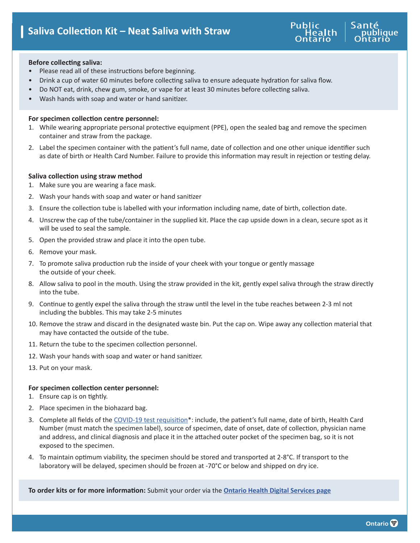

## **Before collecting saliva:**

- Please read all of these instructions before beginning.
- Drink a cup of water 60 minutes before collecting saliva to ensure adequate hydration for saliva flow.
- Do NOT eat, drink, chew gum, smoke, or vape for at least 30 minutes before collecting saliva.
- Wash hands with soap and water or hand sanitizer.

## **For specimen collection centre personnel:**

- 1. While wearing appropriate personal protective equipment (PPE), open the sealed bag and remove the specimen container and straw from the package.
- 2. Label the specimen container with the patient's full name, date of collection and one other unique identifier such as date of birth or Health Card Number. Failure to provide this information may result in rejection or testing delay.

# **Saliva collection using straw method**

- 1. Make sure you are wearing a face mask.
- 2. Wash your hands with soap and water or hand sanitizer
- 3. Ensure the collection tube is labelled with your information including name, date of birth, collection date.
- 4. Unscrew the cap of the tube/container in the supplied kit. Place the cap upside down in a clean, secure spot as it will be used to seal the sample.
- 5. Open the provided straw and place it into the open tube.
- 6. Remove your mask.
- 7. To promote saliva production rub the inside of your cheek with your tongue or gently massage the outside of your cheek.
- 8. Allow saliva to pool in the mouth. Using the straw provided in the kit, gently expel saliva through the straw directly into the tube.
- 9. Continue to gently expel the saliva through the straw until the level in the tube reaches between 2-3 ml not including the bubbles. This may take 2-5 minutes
- 10. Remove the straw and discard in the designated waste bin. Put the cap on. Wipe away any collection material that may have contacted the outside of the tube.
- 11. Return the tube to the specimen collection personnel.
- 12. Wash your hands with soap and water or hand sanitizer.
- 13. Put on your mask.

### **For specimen collection center personnel:**

- 1. Ensure cap is on tightly.
- 2. Place specimen in the biohazard bag.
- 3. Complete all fields of the [COVID-19 test requisition](https://www.publichealthontario.ca/-/media/documents/lab/2019-ncov-test-requisition.pdf?la=en)\*: include, the patient's full name, date of birth, Health Card Number (must match the specimen label), source of specimen, date of onset, date of collection, physician name and address, and clinical diagnosis and place it in the attached outer pocket of the specimen bag, so it is not exposed to the specimen.
- 4. To maintain optimum viability, the specimen should be stored and transported at 2-8°C. If transport to the laboratory will be delayed, specimen should be frozen at -70°C or below and shipped on dry ice.

**To order kits or for more information:** Submit your order via the **[Ontario Health Digital Services page](https://ehealthontario.on.ca/en/health-care-professionals/digital-health-services)**